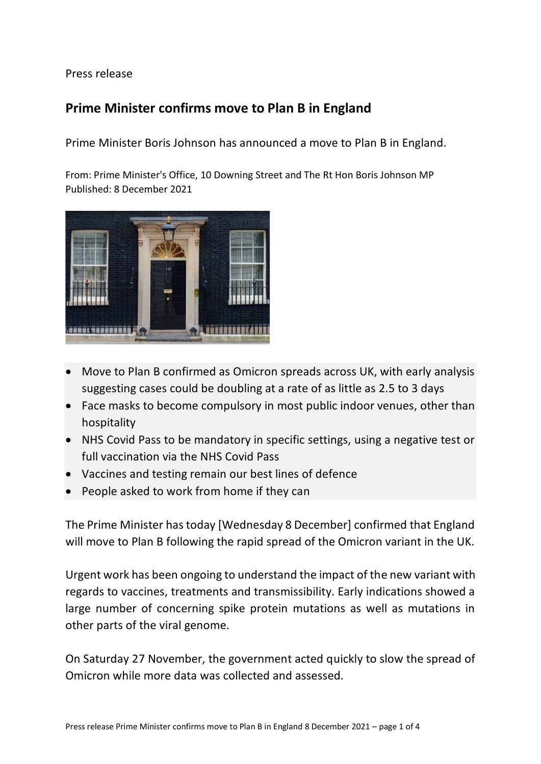Press release

## **Prime Minister confirms move to Plan B in England**

Prime Minister Boris Johnson has announced a move to Plan B in England.

From: Prime Minister's Office, 10 Downing Street and The Rt Hon Boris Johnson MP Published: 8 December 2021



- Move to Plan B confirmed as Omicron spreads across UK, with early analysis suggesting cases could be doubling at a rate of as little as 2.5 to 3 days
- Face masks to become compulsory in most public indoor venues, other than hospitality
- NHS Covid Pass to be mandatory in specific settings, using a negative test or full vaccination via the NHS Covid Pass
- Vaccines and testing remain our best lines of defence
- People asked to work from home if they can

The Prime Minister has today [Wednesday 8 December] confirmed that England will move to Plan B following the rapid spread of the Omicron variant in the UK.

Urgent work has been ongoing to understand the impact of the new variant with regards to vaccines, treatments and transmissibility. Early indications showed a large number of concerning spike protein mutations as well as mutations in other parts of the viral genome.

On Saturday 27 November, the government acted quickly to slow the spread of Omicron while more data was collected and assessed.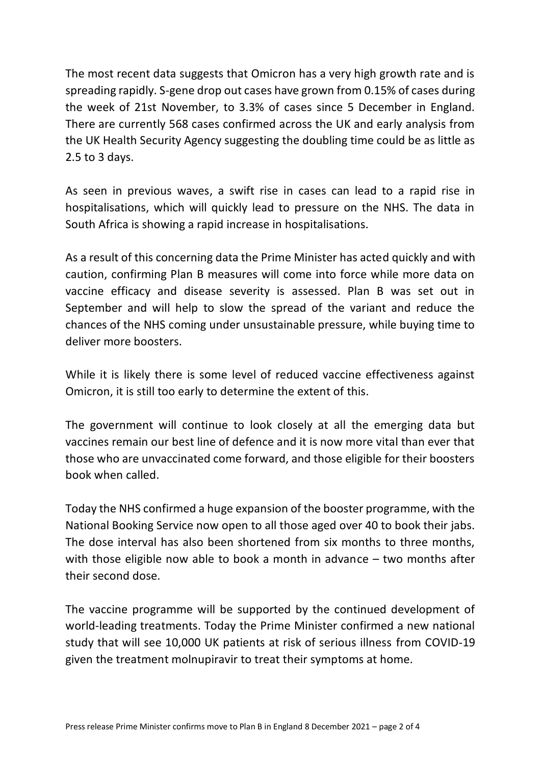The most recent data suggests that Omicron has a very high growth rate and is spreading rapidly. S-gene drop out cases have grown from 0.15% of cases during the week of 21st November, to 3.3% of cases since 5 December in England. There are currently 568 cases confirmed across the UK and early analysis from the UK Health Security Agency suggesting the doubling time could be as little as 2.5 to 3 days.

As seen in previous waves, a swift rise in cases can lead to a rapid rise in hospitalisations, which will quickly lead to pressure on the NHS. The data in South Africa is showing a rapid increase in hospitalisations.

As a result of this concerning data the Prime Minister has acted quickly and with caution, confirming Plan B measures will come into force while more data on vaccine efficacy and disease severity is assessed. Plan B was set out in September and will help to slow the spread of the variant and reduce the chances of the NHS coming under unsustainable pressure, while buying time to deliver more boosters.

While it is likely there is some level of reduced vaccine effectiveness against Omicron, it is still too early to determine the extent of this.

The government will continue to look closely at all the emerging data but vaccines remain our best line of defence and it is now more vital than ever that those who are unvaccinated come forward, and those eligible for their boosters book when called.

Today the NHS confirmed a huge expansion of the booster programme, with the National Booking Service now open to all those aged over 40 to book their jabs. The dose interval has also been shortened from six months to three months, with those eligible now able to book a month in advance – two months after their second dose.

The vaccine programme will be supported by the continued development of world-leading treatments. Today the Prime Minister confirmed a new national study that will see 10,000 UK patients at risk of serious illness from COVID-19 given the treatment molnupiravir to treat their symptoms at home.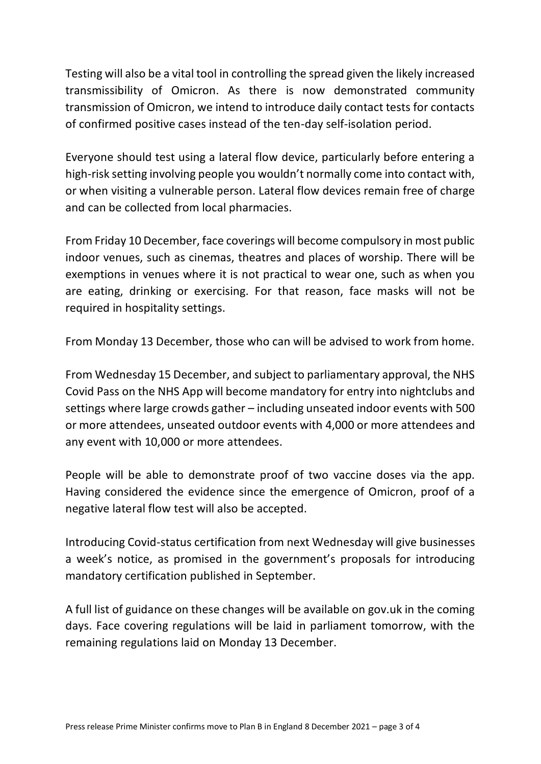Testing will also be a vital tool in controlling the spread given the likely increased transmissibility of Omicron. As there is now demonstrated community transmission of Omicron, we intend to introduce daily contact tests for contacts of confirmed positive cases instead of the ten-day self-isolation period.

Everyone should test using a lateral flow device, particularly before entering a high-risk setting involving people you wouldn't normally come into contact with, or when visiting a vulnerable person. Lateral flow devices remain free of charge and can be collected from local pharmacies.

From Friday 10 December, face coverings will become compulsory in most public indoor venues, such as cinemas, theatres and places of worship. There will be exemptions in venues where it is not practical to wear one, such as when you are eating, drinking or exercising. For that reason, face masks will not be required in hospitality settings.

From Monday 13 December, those who can will be advised to work from home.

From Wednesday 15 December, and subject to parliamentary approval, the NHS Covid Pass on the NHS App will become mandatory for entry into nightclubs and settings where large crowds gather – including unseated indoor events with 500 or more attendees, unseated outdoor events with 4,000 or more attendees and any event with 10,000 or more attendees.

People will be able to demonstrate proof of two vaccine doses via the app. Having considered the evidence since the emergence of Omicron, proof of a negative lateral flow test will also be accepted.

Introducing Covid-status certification from next Wednesday will give businesses a week's notice, as promised in the government's proposals for introducing mandatory certification published in September.

A full list of guidance on these changes will be available on gov.uk in the coming days. Face covering regulations will be laid in parliament tomorrow, with the remaining regulations laid on Monday 13 December.